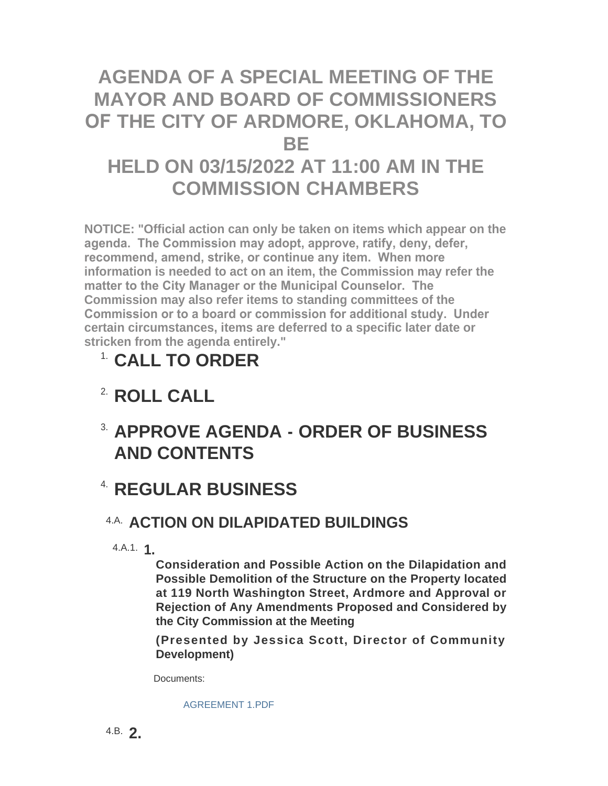# **AGENDA OF A SPECIAL MEETING OF THE MAYOR AND BOARD OF COMMISSIONERS OF THE CITY OF ARDMORE, OKLAHOMA, TO BE HELD ON 03/15/2022 AT 11:00 AM IN THE COMMISSION CHAMBERS**

**NOTICE: "Official action can only be taken on items which appear on the agenda. The Commission may adopt, approve, ratify, deny, defer, recommend, amend, strike, or continue any item. When more information is needed to act on an item, the Commission may refer the matter to the City Manager or the Municipal Counselor. The Commission may also refer items to standing committees of the Commission or to a board or commission for additional study. Under certain circumstances, items are deferred to a specific later date or stricken from the agenda entirely."**

# **CALL TO ORDER** 1.

# <sup>2</sup> ROLL CALL

## **APPROVE AGENDA - ORDER OF BUSINESS**  3. **AND CONTENTS**

### **REGULAR BUSINESS** 4.

#### **A.A. ACTION ON DILAPIDATED BUILDINGS**

**1.** 4.A.1.

**Consideration and Possible Action on the Dilapidation and Possible Demolition of the Structure on the Property located at 119 North Washington Street, Ardmore and Approval or Rejection of Any Amendments Proposed and Considered by the City Commission at the Meeting**

**(Presented by Jessica Scott, Director of Community Development)**

Documents:

#### [AGREEMENT 1.PDF](http://www.ardmorecity.org/AgendaCenter/ViewFile/Item/8187?fileID=4950)

**2.** 4.B.